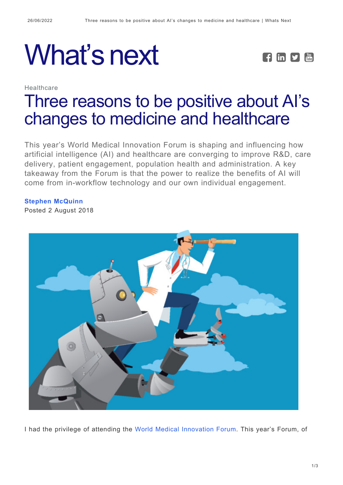**Healthcare** 

## What's next **FEDE**



## [Three reasons to be positive about AI's](https://whatsnext.nuance.com/en-gb/healthcare/3-reasons-to-be-positive-about-ais-changes-to-medicine-and-healthcare/) [changes to medicine and healthcare](https://whatsnext.nuance.com/en-gb/healthcare/3-reasons-to-be-positive-about-ais-changes-to-medicine-and-healthcare/)

This year's World Medical Innovation Forum is shaping and influencing how artificial intelligence (AI) and healthcare are converging to improve R&D, care delivery, patient engagement, population health and administration. A key takeaway from the Forum is that the power to realize the benefits of AI will come from in-workflow technology and our own individual engagement.

## **[Stephen McQuinn](https://whatsnext.nuance.com/en-gb/author/stephenmcquinn/)**

Posted 2 August 2018



I had the privilege of attending the [World Medical Innovation Forum](https://worldmedicalinnovation.org/). This year's Forum, of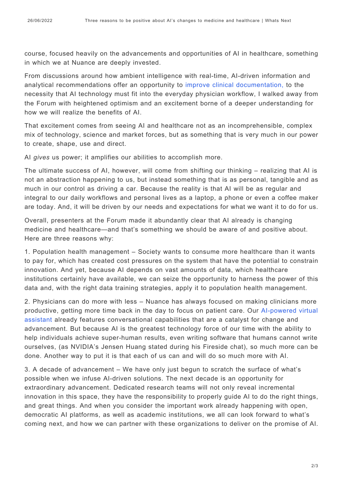course, focused heavily on the advancements and opportunities of AI in healthcare, something in which we at Nuance are deeply invested.

From discussions around how ambient intelligence with real-time, AI-driven information and analytical recommendations offer an opportunity to [improve clinical documentation,](https://www.nuance.com/en-gb/healthcare/clintegrity.html) to the necessity that AI technology must fit into the everyday physician workflow, I walked away from the Forum with heightened optimism and an excitement borne of a deeper understanding for how we will realize the benefits of AI.

That excitement comes from seeing AI and healthcare not as an incomprehensible, complex mix of technology, science and market forces, but as something that is very much in our power to create, shape, use and direct.

AI *gives* us power; it amplifies our abilities to accomplish more.

The ultimate success of AI, however, will come from shifting our thinking – realizing that AI is not an abstraction happening to us, but instead something that is as personal, tangible and as much in our control as driving a car. Because the reality is that AI will be as regular and integral to our daily workflows and personal lives as a laptop, a phone or even a coffee maker are today. And, it will be driven by our needs and expectations for what we want it to do for us.

Overall, presenters at the Forum made it abundantly clear that AI already is changing medicine and healthcare—and that's something we should be aware of and positive about. Here are three reasons why:

1. Population health management – Society wants to consume more healthcare than it wants to pay for, which has created cost pressures on the system that have the potential to constrain innovation. And yet, because AI depends on vast amounts of data, which healthcare institutions certainly have available, we can seize the opportunity to harness the power of this data and, with the right data training strategies, apply it to population health management.

2. Physicians can do more with less – Nuance has always focused on making clinicians more productive, getting more time back in the day to focus on patient care. Our [AI-powered virtual](https://whatsnext.nuance.co.uk/healthcare/mission-driven-innovation/) [assistant a](https://whatsnext.nuance.co.uk/healthcare/mission-driven-innovation/)lready features conversational capabilities that are a catalyst for change and advancement. But because AI is the greatest technology force of our time with the ability to help individuals achieve super-human results, even writing software that humans cannot write ourselves, (as NVIDIA's Jensen Huang stated during his Fireside chat), so much more can be done. Another way to put it is that each of us can and will do so much more with AI.

3. A decade of advancement – We have only just begun to scratch the surface of what's possible when we infuse AI-driven solutions. The next decade is an opportunity for extraordinary advancement. Dedicated research teams will not only reveal incremental innovation in this space, they have the responsibility to properly guide AI to do the right things, and great things. And when you consider the important work already happening with open, democratic AI platforms, as well as academic institutions, we all can look forward to what's coming next, and how we can partner with these organizations to deliver on the promise of AI.